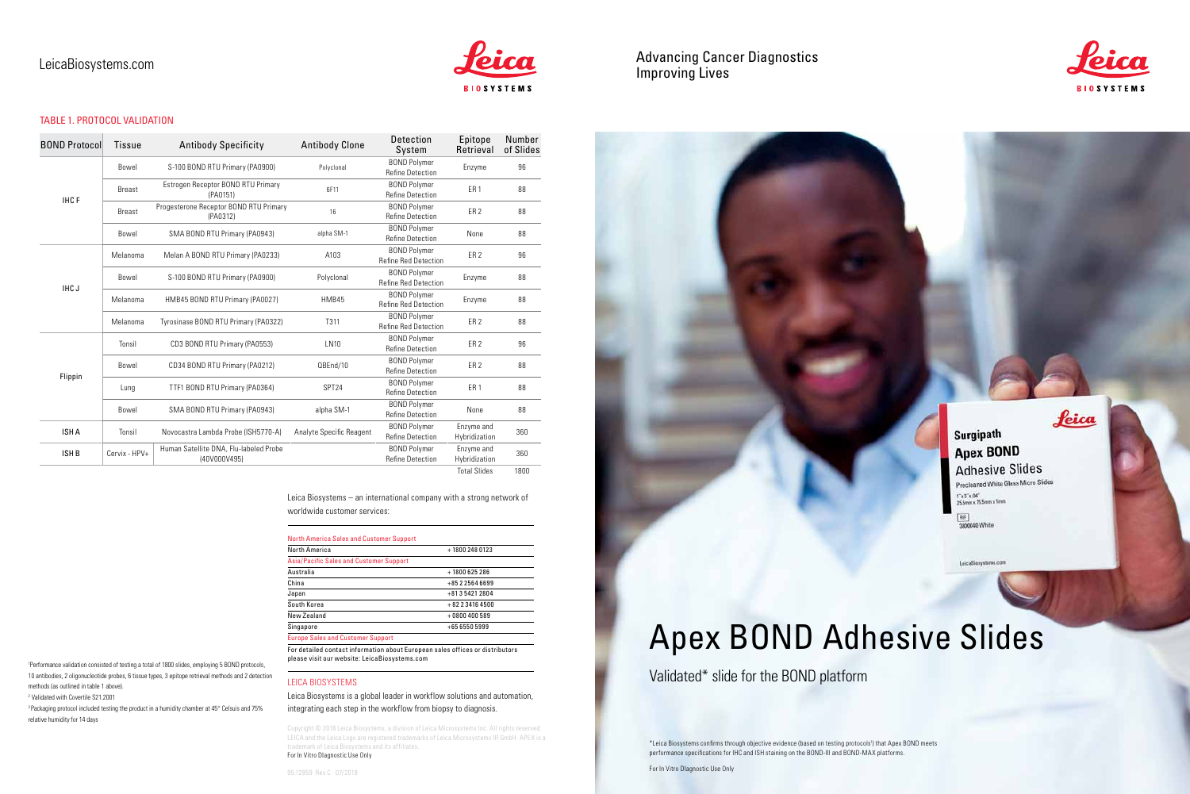## Apex BOND Adhesive Slides

Validated\* slide for the BOND platform

\*Leica Biosystems confirms through objective evidence (based on testing protocols1 ) that Apex BOND meets performance specifications for IHC and ISH staining on the BOND-III and BOND-MAX platforms.



## LeicaBiosystems.com **Advancing Cancer Diagnostics** and Advancing Cancer Diagnostics Improving Lives

For In Vitro DIagnostic Use Only







## Surgipath **Apex BOND Adhesive Slides**

Precleaned White Glass Micro Slides  $\Gamma x \Gamma x .04$ 25.5mm x 75.5mm x 1mm

脚 3800040 White

| <b>BOND Protocol</b> | Tissue        | <b>Antibody Specificity</b>                            | <b>Antibody Clone</b>    | Detection<br>System                                | Epitope<br>Retrieval        | Number<br>of Slides |
|----------------------|---------------|--------------------------------------------------------|--------------------------|----------------------------------------------------|-----------------------------|---------------------|
| <b>IHCF</b>          | Bowel         | S-100 BOND RTU Primary (PA0900)                        | Polyclonal               | <b>BOND Polymer</b><br><b>Refine Detection</b>     | Enzyme                      | 96                  |
|                      | <b>Breast</b> | Estrogen Receptor BOND RTU Primary<br>(PA0151)         | 6F11                     | <b>BOND Polymer</b><br><b>Refine Detection</b>     | ER <sub>1</sub>             | 88                  |
|                      | <b>Breast</b> | Progesterone Receptor BOND RTU Primary<br>(PA0312)     | 16                       | <b>BOND Polymer</b><br><b>Refine Detection</b>     | ER <sub>2</sub>             | 88                  |
|                      | Bowel         | SMA BOND RTU Primary (PA0943)                          | alpha SM-1               | <b>BOND Polymer</b><br><b>Refine Detection</b>     | None                        | 88                  |
| <b>IHCJ</b>          | Melanoma      | Melan A BOND RTU Primary (PA0233)                      | A103                     | <b>BOND Polymer</b><br><b>Refine Red Detection</b> | ER <sub>2</sub>             | 96                  |
|                      | Bowel         | S-100 BOND RTU Primary (PA0900)                        | Polyclonal               | <b>BOND Polymer</b><br><b>Refine Red Detection</b> | Enzyme                      | 88                  |
|                      | Melanoma      | HMB45 BOND RTU Primary (PA0027)                        | HMB45                    | <b>BOND Polymer</b><br><b>Refine Red Detection</b> | Enzyme                      | 88                  |
|                      | Melanoma      | Tyrosinase BOND RTU Primary (PA0322)                   | T311                     | <b>BOND Polymer</b><br><b>Refine Red Detection</b> | ER <sub>2</sub>             | 88                  |
| Flippin              | Tonsil        | CD3 BOND RTU Primary (PA0553)                          | LN10                     | <b>BOND Polymer</b><br><b>Refine Detection</b>     | ER <sub>2</sub>             | 96                  |
|                      | Bowel         | CD34 BOND RTU Primary (PA0212)                         | QBEnd/10                 | <b>BOND Polymer</b><br><b>Refine Detection</b>     | ER <sub>2</sub>             | 88                  |
|                      | Lung          | TTF1 BOND RTU Primary (PA0364)                         | SPT24                    | <b>BOND Polymer</b><br><b>Refine Detection</b>     | ER <sub>1</sub>             | 88                  |
|                      | Bowel         | SMA BOND RTU Primary (PA0943)                          | alpha SM-1               | <b>BOND Polymer</b><br><b>Refine Detection</b>     | None                        | 88                  |
| <b>ISHA</b>          | Tonsil        | Novocastra Lambda Probe (ISH5770-A)                    | Analyte Specific Reagent | <b>BOND Polymer</b><br><b>Refine Detection</b>     | Enzyme and<br>Hybridization | 360                 |
| <b>ISHB</b>          | Cervix - HPV+ | Human Satellite DNA, Flu-labeled Probe<br>(40V000V495) |                          | <b>BOND Polymer</b><br><b>Refine Detection</b>     | Enzyme and<br>Hybridization | 360                 |
|                      |               |                                                        |                          |                                                    | <b>Total Slides</b>         | 1800                |

#### TABLE 1. PROTOCOL VALIDATION

1 Performance validation consisted of testing a total of 1800 slides, employing 5 BOND protocols, 10 antibodies, 2 oligonucleotide probes, 6 tissue types, 3 epitope retrieval methods and 2 detection

<sup>3</sup> Packaging protocol included testing the product in a humidity chamber at 45° Celsuis and 75%

methods (as outlined in table 1 above). 2 Validated with Covertile S21.2001

relative humidity for 14 days

Copyright © 2018 Leica Biosystems, a division of Leica Microsystems Inc. All rights reserved. LEICA and the Leica Logo are registered trademarks of Leica Microsystems IR GmbH. APEX is a nark of Leica Biosystems and its affiliates. For In Vitro DIagnostic Use Only

95.12859 Rev C ∙ 07/2018

LEICA BIOSYSTEMS

Leica Biosystems is a global leader in workflow solutions and automation, integrating each step in the workflow from biopsy to diagnosis.

Leica Biosystems – an international company with a strong network of

worldwide customer services:

| North America                           | +18002480123   |
|-----------------------------------------|----------------|
| Asia/Pacific Sales and Customer Support |                |
| Australia                               | $+1800625286$  |
| China                                   | +85225646699   |
| Japan                                   | +81354212804   |
| South Korea                             | $+82234164500$ |
| New Zealand                             | $+0800400589$  |
| Singapore                               | $+6565505999$  |

Europe Sales and Customer Support

For detailed contact information about European sales offices or distributors please visit our website: LeicaBiosystems.com